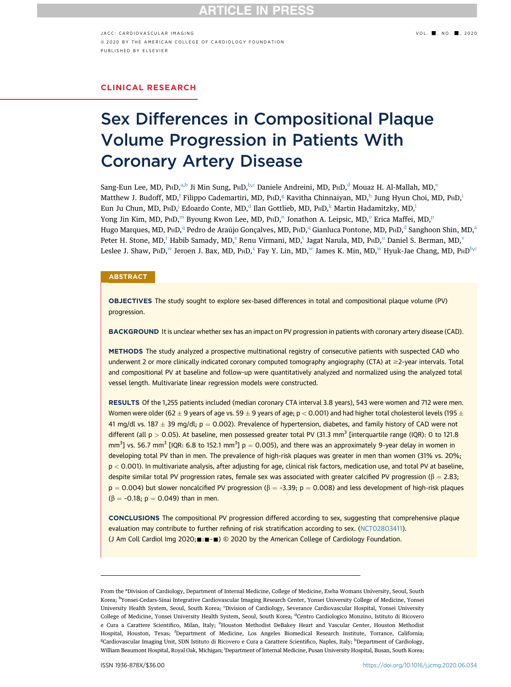$JACC: CAPIOVASCUIAR IMAGING$   $VOL. \blacksquare$ , NO.  $\blacksquare$ , 2020 ª 2020 BY THE AMERICAN COLLEGE OF CARDIOLOGY FOUNDATION PUBLISHED BY ELSEVIER

## CLINICAL RESEARCH

# Sex Differences in Compositional Plaque<br>Volume Progression in Patients With **Coronary Artery Disease** Coronary Artery Disease

S[a](#page-0-0)ng-Eun Lee, MD, P $HD,^{a,b}$  $HD,^{a,b}$  $HD,^{a,b}$  Ji Min Sung, P $HD,^{b,c}$  $HD,^{b,c}$  $HD,^{b,c}$  $HD,^{b,c}$  Daniele An[d](#page-0-3)reini, MD, P $HD,^{d}$  Mouaz H. Al-Mallah, MD,<sup>e</sup> Matthew J. Budo[f](#page-0-5)f, MD,<sup>f</sup> F[i](#page-0-7)lippo Cademartiri, MD, P $HD,^\text{g}$  $HD,^\text{g}$  $HD,^\text{g}$  Kavit[h](#page-0-6)a Chinnaiyan, MD,<sup>h</sup> Jung Hyun Choi, MD, P $HD,^\text{i}$ Eun Ju Chun, MD, PHD,<sup>[j](#page-0-7)</sup> E[d](#page-0-3)oardo Conte, MD,<sup>d</sup> Ilan Gottlieb, MD, PHD,<sup>[k](#page-1-0)</sup> Martin Hadamitzky, MD,<sup>l</sup> Yong Jin Ki[m](#page-1-2), MD, PHD,<sup>m</sup> Byou[n](#page-1-3)g Kw[o](#page-1-4)n Lee, MD, PHD,<su[p](#page-1-5)>n</sup> Jonathon A. Leipsic, MD,<sup>o</sup> Erica Maffei, MD,<sup>p</sup> Hugo Mar[q](#page-1-5)ues, MD, PHD,<sup>q</sup> Pe[d](#page-0-3)ro de Ar[a](#page-0-0)újo Gonçalves, MD, PHD,<sup>q</sup> Gianluca Pontone, MD, PHD,<sup>d</sup> Sanghoon Shin, MD,<sup>a</sup> Pete[r](#page-1-6) H. Stone, MD,<[s](#page-1-7)up>r</sup> Habib Samady, MD,<sup>s</sup> Renu Virmani, MD,<sup>[t](#page-1-7)</s[u](#page-1-8)p> Jagat Narula, MD, P<sub>H</sub>D,<sup>u</sup> Daniel S. Berman, MD,<sup>v</sup> Leslee J. Sha[w](#page-1-9), PHD,<sup>w</sup> Jeroen J. Ba[x](#page-1-10), MD, PHD,<sup>x</sup> Fay Y. Lin, MD,<sup>w</sup> James K. Min, MD,<sup>w</sup> Hyuk-Jae Chang, MD, PHD<sup>[b](#page-0-1),[c](#page-0-2)</sup>

#### **ABSTRACT**

OBJECTIVES The study sought to explore sex-based differences in total and compositional plaque volume (PV) progression.

BACKGROUND It is unclear whether sex has an impact on PV progression in patients with coronary artery disease (CAD).

METHODS The study analyzed a prospective multinational registry of consecutive patients with suspected CAD who underwent 2 or more clinically indicated coronary computed tomography angiography (CTA) at ≥2-year intervals. Total and compositional PV at baseline and follow-up were quantitatively analyzed and normalized using the analyzed total vessel length. Multivariate linear regression models were constructed.

RESULTS Of the 1,255 patients included (median coronary CTA interval 3.8 years), 543 were women and 712 were men. Women were older (62  $\pm$  9 years of age vs. 59  $\pm$  9 years of age; p  $<$  0.001) and had higher total cholesterol levels (195  $\pm$ 41 mg/dl vs. 187  $\pm$  39 mg/dl; p = 0.002). Prevalence of hypertension, diabetes, and family history of CAD were not different (all  $p > 0.05$ ). At baseline, men possessed greater total PV (31.3 mm<sup>3</sup> [interquartile range (IQR): 0 to 121.8  $\text{mm}^3$ ] vs. 56.7 mm<sup>3</sup> [IQR: 6.8 to 152.1 mm<sup>3</sup>] p = 0.005), and there was an approximately 9-year delay in women in developing total PV than in men. The prevalence of high-risk plaques was greater in men than women (31% vs. 20%; p < 0.001). In multivariate analysis, after adjusting for age, clinical risk factors, medication use, and total PV at baseline, despite similar total PV progression rates, female sex was associated with greater calcified PV progression ( $\beta = 2.83$ ;  $p = 0.004$ ) but slower noncalcified PV progression ( $\beta = -3.39$ ;  $p = 0.008$ ) and less development of high-risk plaques  $(\beta = -0.18; p = 0.049)$  than in men.

CONCLUSIONS The compositional PV progression differed according to sex, suggesting that comprehensive plaque evaluation may contribute to further refining of risk stratification according to sex. [\(NCT02803411\)](https://clinicaltrials.gov/ct2/show/NCT02803411?term=NCT02803411%26draw=2%26rank=1). (J Am Coll Cardiol Img 2020; ::  $\equiv$   $\equiv$   $\gg$  2020 by the American College of Cardiology Foundation.

<span id="page-0-7"></span><span id="page-0-6"></span><span id="page-0-5"></span><span id="page-0-4"></span><span id="page-0-3"></span><span id="page-0-2"></span><span id="page-0-1"></span><span id="page-0-0"></span>From the <sup>a</sup>Division of Cardiology, Department of Internal Medicine, College of Medicine, Ewha Womans University, Seoul, South Korea; <sup>b</sup>Yonsei-Cedars-Sinai Integrative Cardiovascular Imaging Research Center, Yonsei University College of Medicine, Yonsei University Health System, Seoul, South Korea; 'Division of Cardiology, Severance Cardiovascular Hospital, Yonsei University College of Medicine, Yonsei University Health System, Seoul, South Korea; <sup>d</sup>Centro Cardiologico Monzino, Istituto di Ricovero e Cura a Carattere Scientifico, Milan, Italy; <sup>e</sup>Houston Methodist DeBakey Heart and Vascular Center, Houston Methodist Hospital, Houston, Texas; <sup>f</sup> Department of Medicine, Los Angeles Biomedical Research Institute, Torrance, California; <sup>g</sup>Cardiovascular Imaging Unit, SDN Istituto di Ricovero e Cura a Carattere Scientifico, Naples, Italy; <sup>h</sup>Department of Cardiology, William Beaumont Hospital, Royal Oak, Michigan; <sup>i</sup> Department of Internal Medicine, Pusan University Hospital, Busan, South Korea;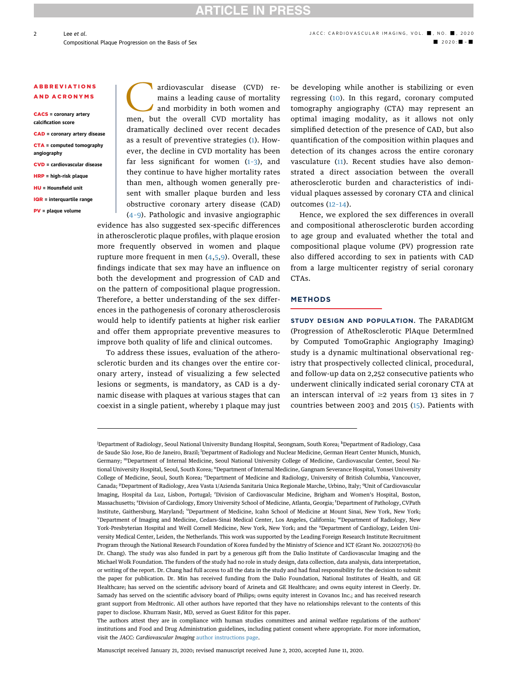# TICLE IN PRES

#### **ABBREVIATIONS** AND ACRONYMS

CACS = coronary artery calcification score

- CAD = coronary artery disease
- CTA = computed tomography angiography
- CVD = cardiovascular disease
- HRP = high-risk plaque
- HU = Hounsfield unit
- IQR = interquartile range
- PV = plaque volume

ardiovascular disease (CVD) remains a leading cause of mortality and morbidity in both women and men, but the overall CVD mortality has dramatically declined over recent decades as a result of preventive strategies ([1](#page-9-0)). However, the decline in CVD mortality has been far less significant for women  $(1-3)$  $(1-3)$ , and they continue to have higher mortality rates than men, although women generally present with smaller plaque burden and less obstructive coronary artery disease (CAD) (4–[9](#page-9-0)). Pathologic and invasive angiographic

evidence has also suggested sex-specific differences in atherosclerotic plaque profiles, with plaque erosion more frequently observed in women and plaque rupture more frequent in men ([4,5](#page-9-0),[9\)](#page-9-0). Overall, these findings indicate that sex may have an influence on both the development and progression of CAD and on the pattern of compositional plaque progression. Therefore, a better understanding of the sex differences in the pathogenesis of coronary atherosclerosis would help to identify patients at higher risk earlier and offer them appropriate preventive measures to improve both quality of life and clinical outcomes.

To address these issues, evaluation of the atherosclerotic burden and its changes over the entire coronary artery, instead of visualizing a few selected lesions or segments, is mandatory, as CAD is a dynamic disease with plaques at various stages that can coexist in a single patient, whereby 1 plaque may just be developing while another is stabilizing or even regressing ([10\)](#page-9-0). In this regard, coronary computed tomography angiography (CTA) may represent an optimal imaging modality, as it allows not only simplified detection of the presence of CAD, but also quantification of the composition within plaques and detection of its changes across the entire coronary vasculature [\(11](#page-9-0)). Recent studies have also demonstrated a direct association between the overall atherosclerotic burden and characteristics of individual plaques assessed by coronary CTA and clinical outcomes (12–[14\)](#page-9-0).

Hence, we explored the sex differences in overall and compositional atherosclerotic burden according to age group and evaluated whether the total and compositional plaque volume (PV) progression rate also differed according to sex in patients with CAD from a large multicenter registry of serial coronary CTAs.

#### METHODS

STUDY DESIGN AND POPULATION. The PARADIGM (Progression of AtheRosclerotic PlAque DetermIned by Computed TomoGraphic Angiography Imaging) study is a dynamic multinational observational registry that prospectively collected clinical, procedural, and follow-up data on 2,252 consecutive patients who underwent clinically indicated serial coronary CTA at an interscan interval of  $\geq$ 2 years from 13 sites in 7 countries between 2003 and 2015 ([15\)](#page-9-0). Patients with

Manuscript received January 21, 2020; revised manuscript received June 2, 2020, accepted June 11, 2020.

2

<span id="page-1-10"></span><span id="page-1-9"></span><span id="page-1-8"></span><span id="page-1-7"></span><span id="page-1-6"></span><span id="page-1-5"></span><span id="page-1-4"></span><span id="page-1-3"></span><span id="page-1-2"></span><span id="page-1-1"></span><span id="page-1-0"></span><sup>&</sup>lt;sup>i</sup>Department of Radiology, Seoul National University Bundang Hospital, Seongnam, South Korea; <sup>k</sup>Department of Radiology, Casa de Saude São Jose, Rio de Janeiro, Brazil; <sup>l</sup>Department of Radiology and Nuclear Medicine, German Heart Center Munich, Munich, Germany; mDepartment of Internal Medicine, Seoul National University College of Medicine, Cardiovascular Center, Seoul National University Hospital, Seoul, South Korea; <sup>n</sup>Department of Internal Medicine, Gangnam Severance Hospital, Yonsei University College of Medicine, Seoul, South Korea; <sup>o</sup>Department of Medicine and Radiology, University of British Columbia, Vancouver, Canada; <sup>p</sup>Department of Radiology, Area Vasta 1/Azienda Sanitaria Unica Regionale Marche, Urbino, Italy; <sup>q</sup>Unit of Cardiovascular Imaging, Hospital da Luz, Lisbon, Portugal; <sup>r</sup> Division of Cardiovascular Medicine, Brigham and Women's Hospital, Boston, Massachusetts; <sup>s</sup>Division of Cardiology, Emory University School of Medicine, Atlanta, Georgia; <sup>t</sup>Department of Pathology, CVPath Institute, Gaithersburg, Maryland; <sup>u</sup>Department of Medicine, Icahn School of Medicine at Mount Sinai, New York, New York; v Department of Imaging and Medicine, Cedars-Sinai Medical Center, Los Angeles, California; wDepartment of Radiology, New York-Presbyterian Hospital and Weill Cornell Medicine, New York, New York; and the <sup>x</sup>Department of Cardiology, Leiden University Medical Center, Leiden, the Netherlands. This work was supported by the Leading Foreign Research Institute Recruitment Program through the National Research Foundation of Korea funded by the Ministry of Science and ICT (Grant No. 2012027176) (to Dr. Chang). The study was also funded in part by a generous gift from the Dalio Institute of Cardiovascular Imaging and the Michael Wolk Foundation. The funders of the study had no role in study design, data collection, data analysis, data interpretation, or writing of the report. Dr. Chang had full access to all the data in the study and had final responsibility for the decision to submit the paper for publication. Dr. Min has received funding from the Dalio Foundation, National Institutes of Health, and GE Healthcare; has served on the scientific advisory board of Arineta and GE Healthcare; and owns equity interest in Cleerly. Dr. Samady has served on the scientific advisory board of Philips; owns equity interest in Covanos Inc.; and has received research grant support from Medtronic. All other authors have reported that they have no relationships relevant to the contents of this paper to disclose. Khurram Nasir, MD, served as Guest Editor for this paper.

The authors attest they are in compliance with human studies committees and animal welfare regulations of the authors' institutions and Food and Drug Administration guidelines, including patient consent where appropriate. For more information, visit the JACC: Cardiovascular Imaging [author instructions page](http://imaging.onlinejacc.org/content/instructions-authors).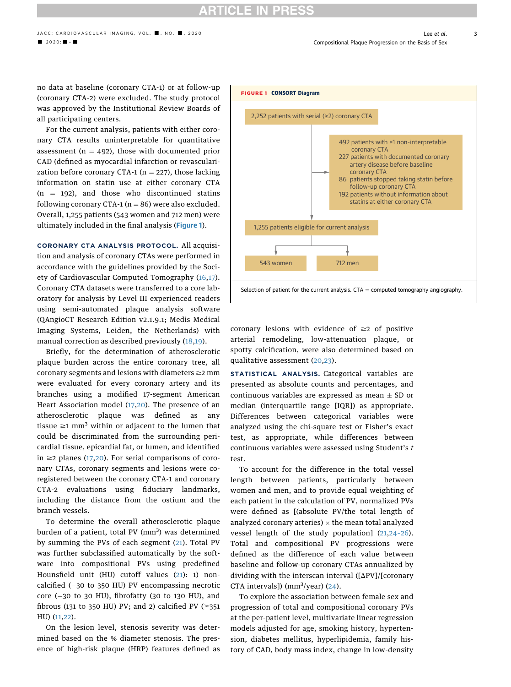# **ARTICLE IN PRESS**

no data at baseline (coronary CTA-1) or at follow-up (coronary CTA-2) were excluded. The study protocol was approved by the Institutional Review Boards of all participating centers.

For the current analysis, patients with either coronary CTA results uninterpretable for quantitative assessment ( $n = 492$ ), those with documented prior CAD (defined as myocardial infarction or revascularization before coronary CTA-1 ( $n = 227$ ), those lacking information on statin use at either coronary CTA  $(n = 192)$ , and those who discontinued statins following coronary CTA-1 ( $n = 86$ ) were also excluded. Overall, 1,255 patients (543 women and 712 men) were ultimately included in the final analysis (Figure 1).

CORONARY CTA ANALYSIS PROTOCOL. All acquisition and analysis of coronary CTAs were performed in accordance with the guidelines provided by the Soci-ety of Cardiovascular Computed Tomography [\(16,17\)](#page-9-0). Coronary CTA datasets were transferred to a core laboratory for analysis by Level III experienced readers using semi-automated plaque analysis software (QAngioCT Research Edition v2.1.9.1; Medis Medical Imaging Systems, Leiden, the Netherlands) with manual correction as described previously ([18](#page-9-0),[19](#page-9-0)).

Briefly, for the determination of atherosclerotic plaque burden across the entire coronary tree, all coronary segments and lesions with diameters  $\geq$  mm were evaluated for every coronary artery and its branches using a modified 17-segment American Heart Association model [\(17,20\)](#page-9-0). The presence of an atherosclerotic plaque was defined as any tissue  $\geq 1$  mm<sup>3</sup> within or adjacent to the lumen that could be discriminated from the surrounding pericardial tissue, epicardial fat, or lumen, and identified in  $\geq$ 2 planes [\(17](#page-9-0),[20](#page-9-0)). For serial comparisons of coronary CTAs, coronary segments and lesions were coregistered between the coronary CTA-1 and coronary CTA-2 evaluations using fiduciary landmarks, including the distance from the ostium and the branch vessels.

To determine the overall atherosclerotic plaque burden of a patient, total PV (mm<sup>3</sup>) was determined by summing the PVs of each segment ([21\)](#page-9-0). Total PV was further subclassified automatically by the software into compositional PVs using predefined Hounsfield unit (HU) cutoff values ([21](#page-9-0)): 1) noncalcified  $(-30$  to 350 HU) PV encompassing necrotic core  $(-30$  to 30 HU), fibrofatty (30 to 130 HU), and fibrous (131 to 350 HU) PV; and 2) calcified PV ( $\geq$ 351 HU) [\(11](#page-9-0),[22](#page-9-0)).

On the lesion level, stenosis severity was determined based on the % diameter stenosis. The presence of high-risk plaque (HRP) features defined as



coronary lesions with evidence of  $\geq 2$  of positive arterial remodeling, low-attenuation plaque, or spotty calcification, were also determined based on qualitative assessment ([20](#page-9-0),[23](#page-9-0)).

STATISTICAL ANALYSIS. Categorical variables are presented as absolute counts and percentages, and continuous variables are expressed as mean  $\pm$  SD or median (interquartile range [IQR]) as appropriate. Differences between categorical variables were analyzed using the chi-square test or Fisher's exact test, as appropriate, while differences between continuous variables were assessed using Student's t test.

To account for the difference in the total vessel length between patients, particularly between women and men, and to provide equal weighting of each patient in the calculation of PV, normalized PVs were defined as [(absolute PV/the total length of analyzed coronary arteries)  $\times$  the mean total analyzed vessel length of the study population] ([21](#page-9-0),24–[26](#page-9-0)). Total and compositional PV progressions were defined as the difference of each value between baseline and follow-up coronary CTAs annualized by dividing with the interscan interval ( $\Delta$ PV]/[coronary CTA intervals])  $(mm<sup>3</sup>/year)$  [\(24\)](#page-9-0).

To explore the association between female sex and progression of total and compositional coronary PVs at the per-patient level, multivariate linear regression models adjusted for age, smoking history, hypertension, diabetes mellitus, hyperlipidemia, family history of CAD, body mass index, change in low-density

3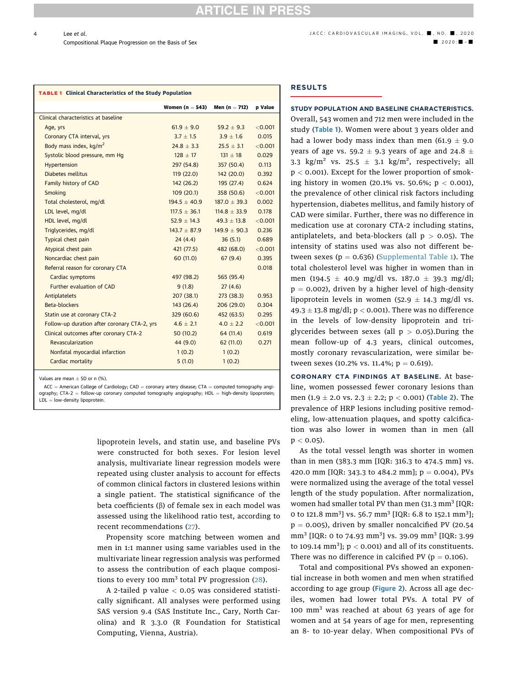# **RTICLE IN PRESS**

TABLE 1 Clinical Characteristics of the Study Population

4

|                                              | Women (n $=$ 543) | Men ( $n = 712$ ) | p Value |
|----------------------------------------------|-------------------|-------------------|---------|
| Clinical characteristics at baseline         |                   |                   |         |
| Age, yrs                                     | $61.9 + 9.0$      | $59.2 + 9.3$      | < 0.001 |
| Coronary CTA interval, yrs                   | $3.7 + 1.5$       | $3.9 + 1.6$       | 0.015   |
| Body mass index, kg/m <sup>2</sup>           | $24.8 + 3.3$      | $25.5 + 3.1$      | < 0.001 |
| Systolic blood pressure, mm Hq               | $128 + 17$        | $131 + 18$        | 0.029   |
| Hypertension                                 | 297 (54.8)        | 357 (50.4)        | 0.113   |
| Diabetes mellitus                            | 119(22.0)         | 142(20.0)         | 0.392   |
| Family history of CAD                        | 142(26.2)         | 195 (27.4)        | 0.624   |
| Smoking                                      | 109(20.1)         | 358 (50.6)        | < 0.001 |
| Total cholesterol, mg/dl                     | $194.5 + 40.9$    | $187.0 + 39.3$    | 0.002   |
| LDL level, mg/dl                             | $117.5 \pm 36.1$  | $114.8 \pm 33.9$  | 0.178   |
| HDL level, mg/dl                             | $52.9 + 14.3$     | $49.3 \pm 13.8$   | < 0.001 |
| Triglycerides, mg/dl                         | $143.7 \pm 87.9$  | $149.9 \pm 90.3$  | 0.236   |
| Typical chest pain                           | 24(4.4)           | 36(5.1)           | 0.689   |
| Atypical chest pain                          | 421 (77.5)        | 482 (68.0)        | < 0.001 |
| Noncardiac chest pain                        | 60 (11.0)         | 67(9.4)           | 0.395   |
| Referral reason for coronary CTA             |                   |                   | 0.018   |
| Cardiac symptoms                             | 497 (98.2)        | 565 (95.4)        |         |
| <b>Further evaluation of CAD</b>             | 9(1.8)            | 27(4.6)           |         |
| Antiplatelets                                | 207(38.1)         | 273(38.3)         | 0.953   |
| Beta-blockers                                | 143 (26.4)        | 206(29.0)         | 0.304   |
| Statin use at coronary CTA-2                 | 329 (60.6)        | 452 (63.5)        | 0.295   |
| Follow-up duration after coronary CTA-2, yrs | $4.6 + 2.1$       | $4.0 + 2.2$       | < 0.001 |
| Clinical outcomes after coronary CTA-2       | 50(10.2)          | 64 (11.4)         | 0.619   |
| Revascularization                            | 44 (9.0)          | 62(11.0)          | 0.271   |
| Nonfatal myocardial infarction               | 1(0.2)            | 1(0.2)            |         |
| Cardiac mortality                            | 5(1.0)            | 1(0.2)            |         |

Values are mean  $+$  SD or n (%).

 $ACC = American College of Cardiology; CAD = coronary artery disease; CTA = computed tomography angi$ ography; CTA-2 = follow-up coronary computed tomography angiography; HDL = high-density lipoprotein;  $LDL = low$ -density lipoprotein.

> lipoprotein levels, and statin use, and baseline PVs were constructed for both sexes. For lesion level analysis, multivariate linear regression models were repeated using cluster analysis to account for effects of common clinical factors in clustered lesions within a single patient. The statistical significance of the beta coefficients  $(\beta)$  of female sex in each model was assessed using the likelihood ratio test, according to recent recommendations ([27](#page-9-0)).

> Propensity score matching between women and men in 1:1 manner using same variables used in the multivariate linear regression analysis was performed to assess the contribution of each plaque compositions to every 100 mm<sup>3</sup> total PV progression  $(28)$  $(28)$  $(28)$ .

> A 2-tailed  $p$  value  $< 0.05$  was considered statistically significant. All analyses were performed using SAS version 9.4 (SAS Institute Inc., Cary, North Carolina) and R 3.3.0 (R Foundation for Statistical Computing, Vienna, Austria).

### RESULTS

# STUDY POPULATION AND BASELINE CHARACTERISTICS.

Overall, 543 women and 712 men were included in the study (Table 1). Women were about 3 years older and had a lower body mass index than men (61.9  $\pm$  9.0 years of age vs. 59.2  $\pm$  9.3 years of age and 24.8  $\pm$ 3.3 kg/m<sup>2</sup> vs. 25.5  $\pm$  3.1 kg/m<sup>2</sup>, respectively; all p < 0.001). Except for the lower proportion of smoking history in women (20.1% vs. 50.6%;  $p < 0.001$ ), the prevalence of other clinical risk factors including hypertension, diabetes mellitus, and family history of CAD were similar. Further, there was no difference in medication use at coronary CTA-2 including statins, antiplatelets, and beta-blockers (all  $p > 0.05$ ). The intensity of statins used was also not different between sexes ( $p = 0.636$ ) ([Supplemental Table 1](https://doi.org/10.1016/j.jcmg.2020.06.034)). The total cholesterol level was higher in women than in men (194.5  $\pm$  40.9 mg/dl vs. 187.0  $\pm$  39.3 mg/dl;  $p = 0.002$ ), driven by a higher level of high-density lipoprotein levels in women (52.9  $\pm$  14.3 mg/dl vs. 49.3  $\pm$  13.8 mg/dl; p < 0.001). There was no difference in the levels of low-density lipoprotein and triglycerides between sexes (all  $p > 0.05$ ). During the mean follow-up of 4.3 years, clinical outcomes, mostly coronary revascularization, were similar between sexes (10.2% vs. 11.4%;  $p = 0.619$ ).

CORONARY CTA FINDINGS AT BASELINE. At baseline, women possessed fewer coronary lesions than men (1.9  $\pm$  2.0 vs. 2.3  $\pm$  2.2; p < 0.001) ([Table 2](#page-4-0)). The prevalence of HRP lesions including positive remodeling, low-attenuation plaques, and spotty calcification was also lower in women than in men (all  $p < 0.05$ ).

As the total vessel length was shorter in women than in men (383.3 mm [IQR: 316.3 to 474.5 mm] vs. 420.0 mm [IQR: 343.3 to 484.2 mm];  $p = 0.004$ ), PVs were normalized using the average of the total vessel length of the study population. After normalization, women had smaller total PV than men  $(31.3 \text{ mm}^3)$  [IQR: 0 to 121.8 mm<sup>3</sup>] vs. 56.7 mm<sup>3</sup> [IQR: 6.8 to 152.1 mm<sup>3</sup>];  $p = 0.005$ ), driven by smaller noncalcified PV (20.54 mm<sup>3</sup> [IQR: 0 to 74.93 mm<sup>3</sup>] vs. 39.09 mm<sup>3</sup> [IQR: 3.99 to 109.14  $mm<sup>3</sup>$ ];  $p < 0.001$ ) and all of its constituents. There was no difference in calcified PV ( $p = 0.106$ ).

Total and compositional PVs showed an exponential increase in both women and men when stratified according to age group ([Figure 2](#page-5-0)). Across all age deciles, women had lower total PVs. A total PV of 100 mm<sup>3</sup> was reached at about 63 years of age for women and at 54 years of age for men, representing an 8- to 10-year delay. When compositional PVs of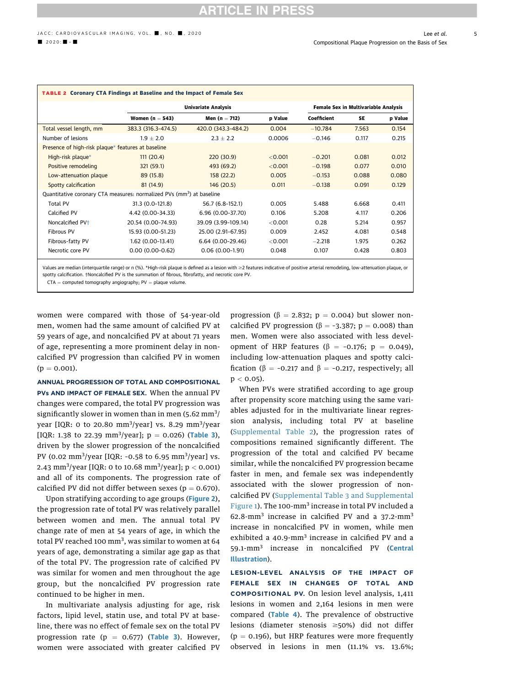<span id="page-4-0"></span>

| <b>TABLE 2 Coronary CTA Findings at Baseline and the Impact of Female Sex</b>                                                                                                           |                     |                            |           |             |                                      |         |  |  |
|-----------------------------------------------------------------------------------------------------------------------------------------------------------------------------------------|---------------------|----------------------------|-----------|-------------|--------------------------------------|---------|--|--|
|                                                                                                                                                                                         |                     | <b>Univariate Analysis</b> |           |             | Female Sex in Multivariable Analysis |         |  |  |
|                                                                                                                                                                                         | Women ( $n = 543$ ) | Men (n $= 712$ )           | p Value   | Coefficient | SE                                   | p Value |  |  |
| Total vessel length, mm                                                                                                                                                                 | 383.3 (316.3-474.5) | 420.0 (343.3-484.2)        | 0.004     | $-10.784$   | 7.563                                | 0.154   |  |  |
| Number of lesions                                                                                                                                                                       | $1.9 \pm 2.0$       | $2.3 \pm 2.2$              | 0.0006    | $-0.146$    | 0.117                                | 0.215   |  |  |
| Presence of high-risk plaque* features at baseline                                                                                                                                      |                     |                            |           |             |                                      |         |  |  |
| High-risk plaque*                                                                                                                                                                       | 111(20.4)           | 220(30.9)                  | < 0.001   | $-0.201$    | 0.081                                | 0.012   |  |  |
| Positive remodeling                                                                                                                                                                     | 321 (59.1)          | 493 (69.2)                 | < 0.001   | $-0.198$    | 0.077                                | 0.010   |  |  |
| Low-attenuation plaque                                                                                                                                                                  | 89 (15.8)           | 158(22.2)                  | 0.005     | $-0.153$    | 0.088                                | 0.080   |  |  |
| Spotty calcification                                                                                                                                                                    | 81(14.9)            | 146 (20.5)                 | 0.011     | $-0.138$    | 0.091                                | 0.129   |  |  |
| Quantitative coronary CTA measures: normalized PVs (mm <sup>3</sup> ) at baseline                                                                                                       |                     |                            |           |             |                                      |         |  |  |
| <b>Total PV</b>                                                                                                                                                                         | 31.3 (0.0-121.8)    | 56.7 (6.8-152.1)           | 0.005     | 5.488       | 6.668                                | 0.411   |  |  |
| Calcified PV                                                                                                                                                                            | 4.42 (0.00-34.33)   | 6.96 (0.00-37.70)          | 0.106     | 5.208       | 4.117                                | 0.206   |  |  |
| Noncalcified PV <sup>+</sup>                                                                                                                                                            | 20.54 (0.00-74.93)  | 39.09 (3.99-109.14)        | < 0.001   | 0.28        | 5.214                                | 0.957   |  |  |
| Fibrous PV                                                                                                                                                                              | 15.93 (0.00-51.23)  | 25.00 (2.91-67.95)         | 0.009     | 2.452       | 4.081                                | 0.548   |  |  |
| Fibrous-fatty PV                                                                                                                                                                        | 1.62 (0.00-13.41)   | 6.64 (0.00-29.46)          | $<$ 0.001 | $-2.218$    | 1.975                                | 0.262   |  |  |
| Necrotic core PV                                                                                                                                                                        | $0.00(0.00-0.62)$   | $0.06(0.00-1.91)$          | 0.048     | 0.107       | 0.428                                | 0.803   |  |  |
| Values are modian (interpurtile range) or n (%). *High rick plaque is defined as a lesion with $\sim$ 3 features indicative of positive arterial remodeling. Jow attenuation plaque, or |                     |                            |           |             |                                      |         |  |  |

Values are median (interquartile range) or n (%). \*High-risk plaque is defined as a lesion with ≥2 features indicative of positive arterial remodeling, low-attenuation plaque, or spotty calcification. †Noncalcified PV is the summation of fibrous, fibrofatty, and necrotic core PV.

 $CTA = computed tomography$  angiography;  $PV = plane$  volume.

women were compared with those of 54-year-old men, women had the same amount of calcified PV at 59 years of age, and noncalcified PV at about 71 years of age, representing a more prominent delay in noncalcified PV progression than calcified PV in women  $(p = 0.001).$ 

ANNUAL PROGRESSION OF TOTAL AND COMPOSITIONAL PVs AND IMPACT OF FEMALE SEX. When the annual PV changes were compared, the total PV progression was significantly slower in women than in men  $(5.62 \text{ mm}^3)'$ year [IQR: 0 to 20.80 mm<sup>3</sup>/year] vs. 8.29 mm<sup>3</sup>/year [IQR: 1.38 to 22.39 mm<sup>3</sup>/year];  $p = 0.026$ ) ([Table 3](#page-6-0)), driven by the slower progression of the noncalcified PV (0.02 mm<sup>3</sup>/year [IQR: -0.58 to 6.95 mm<sup>3</sup>/year] vs. 2.43 mm $\frac{3}{year}$  [IQR: 0 to 10.68 mm $\frac{3}{year}$ ]; p  $<$  0.001) and all of its components. The progression rate of calcified PV did not differ between sexes ( $p = 0.670$ ).

Upon stratifying according to age groups ([Figure 2](#page-5-0)), the progression rate of total PV was relatively parallel between women and men. The annual total PV change rate of men at 54 years of age, in which the total PV reached 100 mm<sup>3</sup>, was similar to women at 64 years of age, demonstrating a similar age gap as that of the total PV. The progression rate of calcified PV was similar for women and men throughout the age group, but the noncalcified PV progression rate continued to be higher in men.

In multivariate analysis adjusting for age, risk factors, lipid level, statin use, and total PV at baseline, there was no effect of female sex on the total PV progression rate ( $p = 0.677$ ) ([Table 3](#page-6-0)). However, women were associated with greater calcified PV

progression ( $\beta$  = 2.832; p = 0.004) but slower noncalcified PV progression ( $\beta$  = -3.387; p = 0.008) than men. Women were also associated with less development of HRP features ( $\beta$  = -0.176; p = 0.049), including low-attenuation plaques and spotty calcification ( $\beta$  = -0.217 and  $\beta$  = -0.217, respectively; all  $p < 0.05$ ).

When PVs were stratified according to age group after propensity score matching using the same variables adjusted for in the multivariate linear regression analysis, including total PV at baseline ([Supplemental Table 2\)](https://doi.org/10.1016/j.jcmg.2020.06.034), the progression rates of compositions remained significantly different. The progression of the total and calcified PV became similar, while the noncalcified PV progression became faster in men, and female sex was independently associated with the slower progression of noncalcified PV ([Supplemental Table 3](https://doi.org/10.1016/j.jcmg.2020.06.034) and [Supplemental](https://doi.org/10.1016/j.jcmg.2020.06.034) [Figure 1](https://doi.org/10.1016/j.jcmg.2020.06.034)). The 100-mm<sup>3</sup> increase in total PV included a 62.8-mm<sup>3</sup> increase in calcified PV and a  $37.2$ -mm<sup>3</sup> increase in noncalcified PV in women, while men exhibited a  $40.9$ -mm<sup>3</sup> increase in calcified PV and a 59.1-mm<sup>3</sup> increase in noncalcified PV ([Central](#page-7-0) [Illustration](#page-7-0)).

LESION-LEVEL ANALYSIS OF THE IMPACT OF FEMALE SEX IN CHANGES OF TOTAL AND COMPOSITIONAL PV. On lesion level analysis, 1,411 lesions in women and 2,164 lesions in men were compared ([Table 4](#page-8-0)). The prevalence of obstructive lesions (diameter stenosis  $\geq$ 50%) did not differ  $(p = 0.196)$ , but HRP features were more frequently observed in lesions in men (11.1% vs. 13.6%;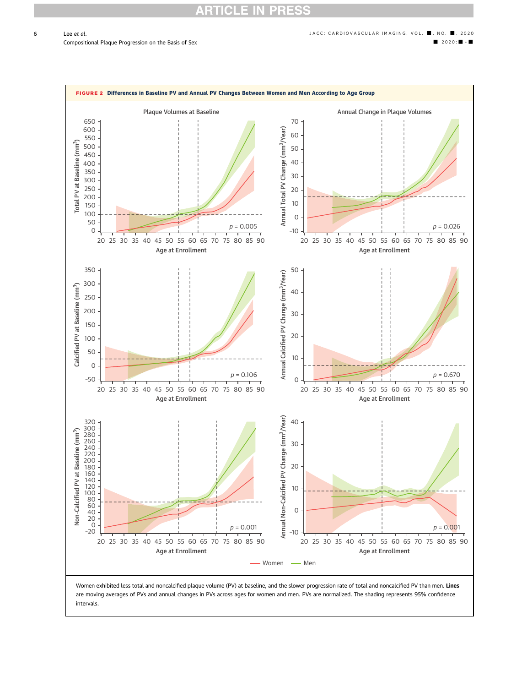# CLI

<span id="page-5-0"></span>

Women exhibited less total and noncalcified plaque volume (PV) at baseline, and the slower progression rate of total and noncalcified PV than men. Lines are moving averages of PVs and annual changes in PVs across ages for women and men. PVs are normalized. The shading represents 95% confidence intervals.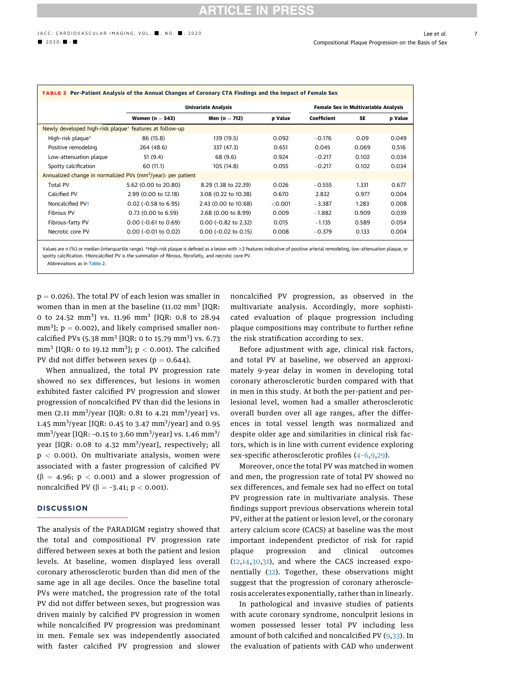<span id="page-6-0"></span>

| TABLE 3 Per-Patient Analysis of the Annual Changes of Coronary CTA Findings and the Impact of Female Sex |                               |                            |         |             |                                      |         |  |
|----------------------------------------------------------------------------------------------------------|-------------------------------|----------------------------|---------|-------------|--------------------------------------|---------|--|
|                                                                                                          |                               | <b>Univariate Analysis</b> |         |             | Female Sex in Multivariable Analysis |         |  |
|                                                                                                          | Women ( $n = 543$ )           | Men (n $= 712$ )           | p Value | Coefficient | SE                                   | p Value |  |
| Newly developed high-risk plague* features at follow-up                                                  |                               |                            |         |             |                                      |         |  |
| High-risk plague*                                                                                        | 86 (15.8)                     | 139 (19.5)                 | 0.092   | $-0.176$    | 0.09                                 | 0.049   |  |
| Positive remodeling                                                                                      | 264 (48.6)                    | 337 (47.3)                 | 0.651   | 0.045       | 0.069                                | 0.516   |  |
| Low-attenuation plaque                                                                                   | 51(9.4)                       | 68 (9.6)                   | 0.924   | $-0.217$    | 0.102                                | 0.034   |  |
| Spotty calcification                                                                                     | 60(11.1)                      | 105 (14.8)                 | 0.055   | $-0.217$    | 0.102                                | 0.034   |  |
| Annualized change in normalized PVs ( $mm3/year$ ): per patient                                          |                               |                            |         |             |                                      |         |  |
| Total PV                                                                                                 | 5.62 (0.00 to 20.80)          | 8.29 (1.38 to 22.39)       | 0.026   | $-0.555$    | 1.331                                | 0.677   |  |
| Calcified PV                                                                                             | 2.99 (0.00 to 12.18)          | 3.08 (0.22 to 10.38)       | 0.670   | 2.832       | 0.977                                | 0.004   |  |
| Noncalcified PV <sup>+</sup>                                                                             | $0.02$ (-0.58 to 6.95)        | 2.43 (0.00 to 10.68)       | < 0.001 | $-3.387$    | 1.283                                | 0.008   |  |
| Fibrous PV                                                                                               | $0.73(0.00 \text{ to } 6.59)$ | 2.68 (0.00 to 8.99)        | 0.009   | $-1.882$    | 0.909                                | 0.039   |  |
| Fibrous-fatty PV                                                                                         | $0.00$ (-0.61 to 0.69)        | $0.00$ (-0.82 to 2.32)     | 0.015   | $-1.135$    | 0.589                                | 0.054   |  |
| Necrotic core PV                                                                                         | $0.00$ (-0.01 to 0.02)        | $0.00$ (-0.02 to 0.15)     | 0.008   | $-0.379$    | 0.133                                | 0.004   |  |

Values are n (%) or median (interquartile range). \*High-risk plaque is defined as a lesion with ≥2 features indicative of positive arterial remodeling, low-attenuation plaque, or spotty calcification. †Noncalcified PV is the summation of fibrous, fibrofatty, and necrotic core PV.

Abbreviations as in [Table 2](#page-4-0).

 $p = 0.026$ ). The total PV of each lesion was smaller in women than in men at the baseline  $(11.02 \text{ mm}^3)$  [IQR: 0 to 24.52  $mm<sup>3</sup>$ ] vs. 11.96  $mm<sup>3</sup>$  [IQR: 0.8 to 28.94  $mm<sup>3</sup>$ ];  $p = 0.002$ ), and likely comprised smaller noncalcified PVs (5.38 mm<sup>3</sup> [IQR: 0 to 15.79 mm<sup>3</sup>] vs. 6.73 mm<sup>3</sup> [IQR: 0 to 19.12 mm<sup>3</sup>];  $p < 0.001$ ). The calcified PV did not differ between sexes ( $p = 0.644$ ).

When annualized, the total PV progression rate showed no sex differences, but lesions in women exhibited faster calcified PV progression and slower progression of noncalcified PV than did the lesions in men (2.11 mm<sup>3</sup>/year [IQR: 0.81 to 4.21 mm<sup>3</sup>/year] vs. 1.45 mm<sup>3</sup>/year [IQR: 0.45 to 3.47 mm<sup>3</sup>/year] and 0.95 mm $\frac{3}{year}$  [IQR: -0.15 to 3.60 mm $\frac{3}{year}$ ] vs. 1.46 mm $\frac{3}{7}$ year [IQR: 0.08 to 4.32 mm<sup>3</sup>/year], respectively; all  $p < 0.001$ ). On multivariate analysis, women were associated with a faster progression of calcified PV  $(\beta = 4.96; p < 0.001)$  and a slower progression of noncalcified PV ( $\beta$  = -3.41; p < 0.001).

#### **DISCUSSION**

The analysis of the PARADIGM registry showed that the total and compositional PV progression rate differed between sexes at both the patient and lesion levels. At baseline, women displayed less overall coronary atherosclerotic burden than did men of the same age in all age deciles. Once the baseline total PVs were matched, the progression rate of the total PV did not differ between sexes, but progression was driven mainly by calcified PV progression in women while noncalcified PV progression was predominant in men. Female sex was independently associated with faster calcified PV progression and slower noncalcified PV progression, as observed in the multivariate analysis. Accordingly, more sophisticated evaluation of plaque progression including plaque compositions may contribute to further refine the risk stratification according to sex.

Before adjustment with age, clinical risk factors, and total PV at baseline, we observed an approximately 9-year delay in women in developing total coronary atherosclerotic burden compared with that in men in this study. At both the per-patient and perlesional level, women had a smaller atherosclerotic overall burden over all age ranges, after the differences in total vessel length was normalized and despite older age and similarities in clinical risk factors, which is in line with current evidence exploring sex-specific atherosclerotic profiles (4–[6,9,](#page-9-0)[29](#page-10-0)).

Moreover, once the total PV was matched in women and men, the progression rate of total PV showed no sex differences, and female sex had no effect on total PV progression rate in multivariate analysis. These findings support previous observations wherein total PV, either at the patient or lesion level, or the coronary artery calcium score (CACS) at baseline was the most important independent predictor of risk for rapid plaque progression and clinical outcomes ([12,14,](#page-9-0)[30,31\)](#page-10-0), and where the CACS increased exponentially [\(32\)](#page-10-0). Together, these observations might suggest that the progression of coronary atherosclerosis accelerates exponentially, rather than in linearly.

In pathological and invasive studies of patients with acute coronary syndrome, nonculprit lesions in women possessed lesser total PV including less amount of both calcified and noncalcified PV [\(9](#page-9-0),[33](#page-10-0)). In the evaluation of patients with CAD who underwent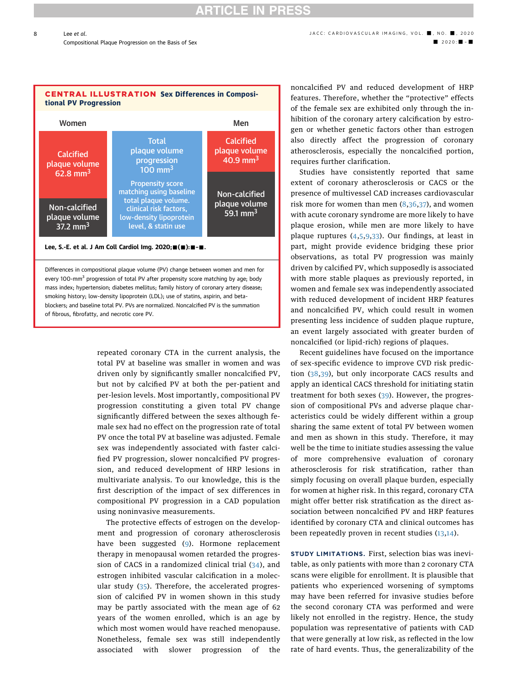# **ARTICLE IN PRESS**

# Compositional Plaque Progression on the Basis of Sex - 2020: - 2020: - 2020: - 2020: - 2020: - 2020: - 2020: -

<span id="page-7-0"></span>8





Lee, S.-E. et al. J Am Coll Cardiol Img. 2020; $\blacksquare(\blacksquare)$ : $\blacksquare$ - $\blacksquare$ .

Differences in compositional plaque volume (PV) change between women and men for every 100-mm<sup>3</sup> progression of total PV after propensity score matching by age; body mass index; hypertension; diabetes mellitus; family history of coronary artery disease; smoking history; low-density lipoprotein (LDL); use of statins, aspirin, and betablockers; and baseline total PV. PVs are normalized. Noncalcified PV is the summation of fibrous, fibrofatty, and necrotic core PV.

> repeated coronary CTA in the current analysis, the total PV at baseline was smaller in women and was driven only by significantly smaller noncalcified PV, but not by calcified PV at both the per-patient and per-lesion levels. Most importantly, compositional PV progression constituting a given total PV change significantly differed between the sexes although female sex had no effect on the progression rate of total PV once the total PV at baseline was adjusted. Female sex was independently associated with faster calcified PV progression, slower noncalcified PV progression, and reduced development of HRP lesions in multivariate analysis. To our knowledge, this is the first description of the impact of sex differences in compositional PV progression in a CAD population using noninvasive measurements.

> The protective effects of estrogen on the development and progression of coronary atherosclerosis have been suggested ([9](#page-9-0)). Hormone replacement therapy in menopausal women retarded the progression of CACS in a randomized clinical trial ([34](#page-10-0)), and estrogen inhibited vascular calcification in a molecular study [\(35\)](#page-10-0). Therefore, the accelerated progression of calcified PV in women shown in this study may be partly associated with the mean age of 62 years of the women enrolled, which is an age by which most women would have reached menopause. Nonetheless, female sex was still independently associated with slower progression of the

noncalcified PV and reduced development of HRP features. Therefore, whether the "protective" effects of the female sex are exhibited only through the inhibition of the coronary artery calcification by estrogen or whether genetic factors other than estrogen also directly affect the progression of coronary atherosclerosis, especially the noncalcified portion, requires further clarification.

Studies have consistently reported that same extent of coronary atherosclerosis or CACS or the presence of multivessel CAD increases cardiovascular risk more for women than men  $(8,36,37)$  $(8,36,37)$  $(8,36,37)$  $(8,36,37)$  $(8,36,37)$  $(8,36,37)$ , and women with acute coronary syndrome are more likely to have plaque erosion, while men are more likely to have plaque ruptures ([4,5,9,](#page-9-0)[33](#page-10-0)). Our findings, at least in part, might provide evidence bridging these prior observations, as total PV progression was mainly driven by calcified PV, which supposedly is associated with more stable plaques as previously reported, in women and female sex was independently associated with reduced development of incident HRP features and noncalcified PV, which could result in women presenting less incidence of sudden plaque rupture, an event largely associated with greater burden of noncalcified (or lipid-rich) regions of plaques.

Recent guidelines have focused on the importance of sex-specific evidence to improve CVD risk prediction ([38](#page-10-0),[39\)](#page-10-0), but only incorporate CACS results and apply an identical CACS threshold for initiating statin treatment for both sexes ([39\)](#page-10-0). However, the progression of compositional PVs and adverse plaque characteristics could be widely different within a group sharing the same extent of total PV between women and men as shown in this study. Therefore, it may well be the time to initiate studies assessing the value of more comprehensive evaluation of coronary atherosclerosis for risk stratification, rather than simply focusing on overall plaque burden, especially for women at higher risk. In this regard, coronary CTA might offer better risk stratification as the direct association between noncalcified PV and HRP features identified by coronary CTA and clinical outcomes has been repeatedly proven in recent studies [\(13](#page-9-0),[14](#page-9-0)).

STUDY LIMITATIONS. First, selection bias was inevitable, as only patients with more than 2 coronary CTA scans were eligible for enrollment. It is plausible that patients who experienced worsening of symptoms may have been referred for invasive studies before the second coronary CTA was performed and were likely not enrolled in the registry. Hence, the study population was representative of patients with CAD that were generally at low risk, as reflected in the low rate of hard events. Thus, the generalizability of the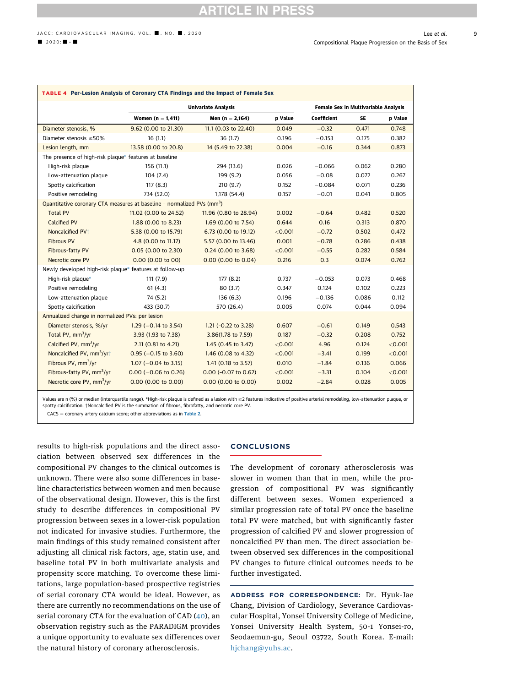<span id="page-8-0"></span>

| TABLE 4 Per-Lesion Analysis of Coronary CTA Findings and the Impact of Female Sex  |                                                 |                        |         |                                      |           |         |  |
|------------------------------------------------------------------------------------|-------------------------------------------------|------------------------|---------|--------------------------------------|-----------|---------|--|
|                                                                                    | <b>Univariate Analysis</b>                      |                        |         | Female Sex in Multivariable Analysis |           |         |  |
|                                                                                    | Women $(n = 1,411)$                             | Men $(n = 2,164)$      | p Value | Coefficient                          | <b>SE</b> | p Value |  |
| Diameter stenosis, %                                                               | 9.62 (0.00 to 21.30)                            | 11.1 (0.03 to 22.40)   | 0.049   | $-0.32$                              | 0.471     | 0.748   |  |
| Diameter stenosis $\geq$ 50%                                                       | 16(1.1)                                         | 36(1.7)                | 0.196   | $-0.153$                             | 0.175     | 0.382   |  |
| Lesion length, mm                                                                  | 13.58 (0.00 to 20.8)                            | 14 (5.49 to 22.38)     | 0.004   | $-0.16$                              | 0.344     | 0.873   |  |
| The presence of high-risk plaque* features at baseline                             |                                                 |                        |         |                                      |           |         |  |
| High-risk plaque                                                                   | 156 (11.1)                                      | 294 (13.6)             | 0.026   | $-0.066$                             | 0.062     | 0.280   |  |
| Low-attenuation plaque                                                             | 104(7.4)                                        | 199 (9.2)              | 0.056   | $-0.08$                              | 0.072     | 0.267   |  |
| Spotty calcification                                                               | 117(8.3)                                        | 210(9.7)               | 0.152   | $-0.084$                             | 0.071     | 0.236   |  |
| Positive remodeling                                                                | 734 (52.0)                                      | 1,178 (54.4)           | 0.157   | $-0.01$                              | 0.041     | 0.805   |  |
| Quantitative coronary CTA measures at baseline - normalized PVs (mm <sup>3</sup> ) |                                                 |                        |         |                                      |           |         |  |
| <b>Total PV</b>                                                                    | 11.02 (0.00 to 24.52)                           | 11.96 (0.80 to 28.94)  | 0.002   | $-0.64$                              | 0.482     | 0.520   |  |
| <b>Calcified PV</b>                                                                | 1.88 (0.00 to 8.23)                             | 1.69 (0.00 to 7.54)    | 0.644   | 0.16                                 | 0.313     | 0.870   |  |
| Noncalcified PV <sup>+</sup>                                                       | 5.38 (0.00 to 15.79)                            | 6.73 (0.00 to 19.12)   | < 0.001 | $-0.72$                              | 0.502     | 0.472   |  |
| <b>Fibrous PV</b>                                                                  | 4.8 (0.00 to 11.17)                             | 5.57 (0.00 to 13.46)   | 0.001   | $-0.78$                              | 0.286     | 0.438   |  |
| Fibrous-fatty PV                                                                   | 0.05 (0.00 to 2.30)                             | $0.24$ (0.00 to 3.68)  | < 0.001 | $-0.55$                              | 0.282     | 0.584   |  |
| Necrotic core PV                                                                   | $0.00$ (0.00 to 00)                             | $0.00$ (0.00 to 0.04)  | 0.216   | 0.3                                  | 0.074     | 0.762   |  |
| Newly developed high-risk plaque* features at follow-up                            |                                                 |                        |         |                                      |           |         |  |
| High-risk plaque*                                                                  | 111(7.9)                                        | 177(8.2)               | 0.737   | $-0.053$                             | 0.073     | 0.468   |  |
| Positive remodeling                                                                | 61(4.3)                                         | 80(3.7)                | 0.347   | 0.124                                | 0.102     | 0.223   |  |
| Low-attenuation plaque                                                             | 74 (5.2)                                        | 136(6.3)               | 0.196   | $-0.136$                             | 0.086     | 0.112   |  |
| Spotty calcification                                                               | 433 (30.7)                                      | 570 (26.4)             | 0.005   | 0.074                                | 0.044     | 0.094   |  |
|                                                                                    | Annualized change in normalized PVs: per lesion |                        |         |                                      |           |         |  |
| Diameter stenosis, %/yr                                                            | 1.29 $(-0.14 \text{ to } 3.54)$                 | 1.21 (-0.22 to 3.28)   | 0.607   | $-0.61$                              | 0.149     | 0.543   |  |
| Total PV, mm <sup>3</sup> /yr                                                      | 3.93 (1.93 to 7.38)                             | 3.86(1.78 to 7.59)     | 0.187   | $-0.32$                              | 0.208     | 0.752   |  |
| Calcified PV, mm <sup>3</sup> /yr                                                  | 2.11 (0.81 to 4.21)                             | 1.45 (0.45 to 3.47)    | < 0.001 | 4.96                                 | 0.124     | < 0.001 |  |
| Noncalcified PV, mm <sup>3</sup> /yrt                                              | $0.95$ (-0.15 to 3.60)                          | 1.46 (0.08 to 4.32)    | < 0.001 | $-3.41$                              | 0.199     | < 0.001 |  |
| Fibrous PV, mm <sup>3</sup> /yr                                                    | $1.07 (-0.04 \text{ to } 3.15)$                 | 1.41 (0.18 to 3.57)    | 0.010   | $-1.84$                              | 0.136     | 0.066   |  |
| Fibrous-fatty PV, mm <sup>3</sup> /yr                                              | $0.00$ (-0.06 to 0.26)                          | $0.00$ (-0.07 to 0.62) | < 0.001 | $-3.31$                              | 0.104     | < 0.001 |  |
| Necrotic core PV, mm <sup>3</sup> /yr                                              | 0.00 (0.00 to 0.00)                             | $0.00$ (0.00 to 0.00)  | 0.002   | $-2.84$                              | 0.028     | 0.005   |  |

Values are n (%) or median (interquartile range). \*High-risk plaque is defined as a lesion with ≥2 features indicative of positive arterial remodeling, low-attenuation plaque, or spotty calcification. †Noncalcified PV is the summation of fibrous, fibrofatty, and necrotic core PV.

 $CACS = \text{coronary artery calcium score; other abbreviations as in Table 2.}$  $CACS = \text{coronary artery calcium score; other abbreviations as in Table 2.}$  $CACS = \text{coronary artery calcium score; other abbreviations as in Table 2.}$ 

results to high-risk populations and the direct association between observed sex differences in the compositional PV changes to the clinical outcomes is unknown. There were also some differences in baseline characteristics between women and men because of the observational design. However, this is the first study to describe differences in compositional PV progression between sexes in a lower-risk population not indicated for invasive studies. Furthermore, the main findings of this study remained consistent after adjusting all clinical risk factors, age, statin use, and baseline total PV in both multivariate analysis and propensity score matching. To overcome these limitations, large population-based prospective registries of serial coronary CTA would be ideal. However, as there are currently no recommendations on the use of serial coronary CTA for the evaluation of CAD [\(40](#page-10-0)), an observation registry such as the PARADIGM provides a unique opportunity to evaluate sex differences over the natural history of coronary atherosclerosis.

#### **CONCLUSIONS**

The development of coronary atherosclerosis was slower in women than that in men, while the progression of compositional PV was significantly different between sexes. Women experienced a similar progression rate of total PV once the baseline total PV were matched, but with significantly faster progression of calcified PV and slower progression of noncalcified PV than men. The direct association between observed sex differences in the compositional PV changes to future clinical outcomes needs to be further investigated.

ADDRESS FOR CORRESPONDENCE: Dr. Hyuk-Jae Chang, Division of Cardiology, Severance Cardiovascular Hospital, Yonsei University College of Medicine, Yonsei University Health System, 50-1 Yonsei-ro, Seodaemun-gu, Seoul 03722, South Korea. E-mail: [hjchang@yuhs.ac.](mailto:hjchang@yuhs.ac)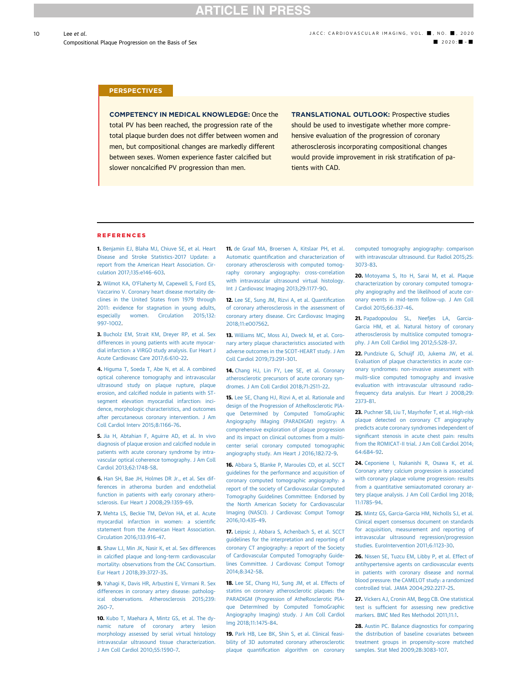#### <span id="page-9-0"></span>**PERSPECTIVES**

COMPETENCY IN MEDICAL KNOWLEDGE: Once the total PV has been reached, the progression rate of the total plaque burden does not differ between women and men, but compositional changes are markedly different between sexes. Women experience faster calcified but slower noncalcified PV progression than men.

TRANSLATIONAL OUTLOOK: Prospective studies should be used to investigate whether more comprehensive evaluation of the progression of coronary atherosclerosis incorporating compositional changes would provide improvement in risk stratification of patients with CAD.

#### REFERENCES

1. [Benjamin EJ, Blaha MJ, Chiuve SE, et al. Heart](http://refhub.elsevier.com/S1936-878X(20)30616-1/sref1) [Disease and Stroke Statistics-2017 Update: a](http://refhub.elsevier.com/S1936-878X(20)30616-1/sref1) [report from the American Heart Association. Cir](http://refhub.elsevier.com/S1936-878X(20)30616-1/sref1)[culation 2017;135:e146](http://refhub.elsevier.com/S1936-878X(20)30616-1/sref1)–603.

2. Wilmot KA, O'[Flaherty M, Capewell S, Ford ES,](http://refhub.elsevier.com/S1936-878X(20)30616-1/sref2) [Vaccarino V. Coronary heart disease mortality de](http://refhub.elsevier.com/S1936-878X(20)30616-1/sref2)[clines in the United States from 1979 through](http://refhub.elsevier.com/S1936-878X(20)30616-1/sref2) [2011: evidence for stagnation in young adults,](http://refhub.elsevier.com/S1936-878X(20)30616-1/sref2) [especially women. Circulation 2015;132:](http://refhub.elsevier.com/S1936-878X(20)30616-1/sref2) 997–[1002.](http://refhub.elsevier.com/S1936-878X(20)30616-1/sref2)

3. [Bucholz EM, Strait KM, Dreyer RP, et al. Sex](http://refhub.elsevier.com/S1936-878X(20)30616-1/sref3) [differences in young patients with acute myocar](http://refhub.elsevier.com/S1936-878X(20)30616-1/sref3)[dial infarction: a VIRGO study analysis. Eur Heart J](http://refhub.elsevier.com/S1936-878X(20)30616-1/sref3) [Acute Cardiovasc Care 2017;6:610](http://refhub.elsevier.com/S1936-878X(20)30616-1/sref3)–22.

4. [Higuma T, Soeda T, Abe N, et al. A combined](http://refhub.elsevier.com/S1936-878X(20)30616-1/sref4) [optical coherence tomography and intravascular](http://refhub.elsevier.com/S1936-878X(20)30616-1/sref4) [ultrasound study on plaque rupture, plaque](http://refhub.elsevier.com/S1936-878X(20)30616-1/sref4) erosion, and calcifi[ed nodule in patients with ST](http://refhub.elsevier.com/S1936-878X(20)30616-1/sref4)[segment elevation myocardial infarction: inci](http://refhub.elsevier.com/S1936-878X(20)30616-1/sref4)[dence, morphologic characteristics, and outcomes](http://refhub.elsevier.com/S1936-878X(20)30616-1/sref4) [after percutaneous coronary intervention. J Am](http://refhub.elsevier.com/S1936-878X(20)30616-1/sref4) [Coll Cardiol Interv 2015;8:1166](http://refhub.elsevier.com/S1936-878X(20)30616-1/sref4)–76.

5. [Jia H, Abtahian F, Aguirre AD, et al. In vivo](http://refhub.elsevier.com/S1936-878X(20)30616-1/sref5) [diagnosis of plaque erosion and calci](http://refhub.elsevier.com/S1936-878X(20)30616-1/sref5)fied nodule in [patients with acute coronary syndrome by intra](http://refhub.elsevier.com/S1936-878X(20)30616-1/sref5)[vascular optical coherence tomography. J Am Coll](http://refhub.elsevier.com/S1936-878X(20)30616-1/sref5) [Cardiol 2013;62:1748](http://refhub.elsevier.com/S1936-878X(20)30616-1/sref5)–58.

6. [Han SH, Bae JH, Holmes DR Jr., et al. Sex dif](http://refhub.elsevier.com/S1936-878X(20)30616-1/sref6)[ferences in atheroma burden and endothelial](http://refhub.elsevier.com/S1936-878X(20)30616-1/sref6) [function in patients with early coronary athero](http://refhub.elsevier.com/S1936-878X(20)30616-1/sref6)[sclerosis. Eur Heart J 2008;29:1359](http://refhub.elsevier.com/S1936-878X(20)30616-1/sref6)–69.

7. [Mehta LS, Beckie TM, DeVon HA, et al. Acute](http://refhub.elsevier.com/S1936-878X(20)30616-1/sref7) [myocardial infarction in women: a scienti](http://refhub.elsevier.com/S1936-878X(20)30616-1/sref7)fic [statement from the American Heart Association.](http://refhub.elsevier.com/S1936-878X(20)30616-1/sref7) [Circulation 2016;133:916](http://refhub.elsevier.com/S1936-878X(20)30616-1/sref7)–47.

8. [Shaw LJ, Min JK, Nasir K, et al. Sex differences](http://refhub.elsevier.com/S1936-878X(20)30616-1/sref8) in calcifi[ed plaque and long-term cardiovascular](http://refhub.elsevier.com/S1936-878X(20)30616-1/sref8) [mortality: observations from the CAC Consortium.](http://refhub.elsevier.com/S1936-878X(20)30616-1/sref8) [Eur Heart J 2018;39:3727](http://refhub.elsevier.com/S1936-878X(20)30616-1/sref8)–35.

9. [Yahagi K, Davis HR, Arbustini E, Virmani R. Sex](http://refhub.elsevier.com/S1936-878X(20)30616-1/sref9) [differences in coronary artery disease: patholog](http://refhub.elsevier.com/S1936-878X(20)30616-1/sref9)[ical observations. Atherosclerosis 2015;239:](http://refhub.elsevier.com/S1936-878X(20)30616-1/sref9) [260](http://refhub.elsevier.com/S1936-878X(20)30616-1/sref9)–7.

10. [Kubo T, Maehara A, Mintz GS, et al. The dy](http://refhub.elsevier.com/S1936-878X(20)30616-1/sref10)[namic nature of coronary artery lesion](http://refhub.elsevier.com/S1936-878X(20)30616-1/sref10) [morphology assessed by serial virtual histology](http://refhub.elsevier.com/S1936-878X(20)30616-1/sref10) [intravascular ultrasound tissue characterization.](http://refhub.elsevier.com/S1936-878X(20)30616-1/sref10) [J Am Coll Cardiol 2010;55:1590](http://refhub.elsevier.com/S1936-878X(20)30616-1/sref10)–7.

11. [de Graaf MA, Broersen A, Kitslaar PH, et al.](http://refhub.elsevier.com/S1936-878X(20)30616-1/sref11) Automatic quantifi[cation and characterization of](http://refhub.elsevier.com/S1936-878X(20)30616-1/sref11) [coronary atherosclerosis with computed tomog](http://refhub.elsevier.com/S1936-878X(20)30616-1/sref11)[raphy coronary angiography: cross-correlation](http://refhub.elsevier.com/S1936-878X(20)30616-1/sref11) [with intravascular ultrasound virtual histology.](http://refhub.elsevier.com/S1936-878X(20)30616-1/sref11) [Int J Cardiovasc Imaging 2013;29:1177](http://refhub.elsevier.com/S1936-878X(20)30616-1/sref11)–90.

12. [Lee SE, Sung JM, Rizvi A, et al. Quanti](http://refhub.elsevier.com/S1936-878X(20)30616-1/sref12)fication [of coronary atherosclerosis in the assessment of](http://refhub.elsevier.com/S1936-878X(20)30616-1/sref12) [coronary artery disease. Circ Cardiovasc Imaging](http://refhub.elsevier.com/S1936-878X(20)30616-1/sref12) [2018;11:e007562.](http://refhub.elsevier.com/S1936-878X(20)30616-1/sref12)

13. [Williams MC, Moss AJ, Dweck M, et al. Coro](http://refhub.elsevier.com/S1936-878X(20)30616-1/sref13)[nary artery plaque characteristics associated with](http://refhub.elsevier.com/S1936-878X(20)30616-1/sref13) [adverse outcomes in the SCOT-HEART study. J Am](http://refhub.elsevier.com/S1936-878X(20)30616-1/sref13) [Coll Cardiol 2019;73:291](http://refhub.elsevier.com/S1936-878X(20)30616-1/sref13)–301.

14. [Chang HJ, Lin FY, Lee SE, et al. Coronary](http://refhub.elsevier.com/S1936-878X(20)30616-1/sref14) [atherosclerotic precursors of acute coronary syn](http://refhub.elsevier.com/S1936-878X(20)30616-1/sref14)[dromes. J Am Coll Cardiol 2018;71:2511](http://refhub.elsevier.com/S1936-878X(20)30616-1/sref14)–22.

15. [Lee SE, Chang HJ, Rizvi A, et al. Rationale and](http://refhub.elsevier.com/S1936-878X(20)30616-1/sref15) [design of the Progression of AtheRosclerotic PlA](http://refhub.elsevier.com/S1936-878X(20)30616-1/sref15)[que DetermIned by Computed TomoGraphic](http://refhub.elsevier.com/S1936-878X(20)30616-1/sref15) [Angiography IMaging \(PARADIGM\) registry: A](http://refhub.elsevier.com/S1936-878X(20)30616-1/sref15) [comprehensive exploration of plaque progression](http://refhub.elsevier.com/S1936-878X(20)30616-1/sref15) [and its impact on clinical outcomes from a multi](http://refhub.elsevier.com/S1936-878X(20)30616-1/sref15)[center serial coronary computed tomographic](http://refhub.elsevier.com/S1936-878X(20)30616-1/sref15) [angiography study. Am Heart J 2016;182:72](http://refhub.elsevier.com/S1936-878X(20)30616-1/sref15)–9.

16. [Abbara S, Blanke P, Maroules CD, et al. SCCT](http://refhub.elsevier.com/S1936-878X(20)30616-1/sref16) [guidelines for the performance and acquisition of](http://refhub.elsevier.com/S1936-878X(20)30616-1/sref16) [coronary computed tomographic angiography: a](http://refhub.elsevier.com/S1936-878X(20)30616-1/sref16) [report of the society of Cardiovascular Computed](http://refhub.elsevier.com/S1936-878X(20)30616-1/sref16) [Tomography Guidelines Committee: Endorsed by](http://refhub.elsevier.com/S1936-878X(20)30616-1/sref16) [the North American Society for Cardiovascular](http://refhub.elsevier.com/S1936-878X(20)30616-1/sref16) [Imaging \(NASCI\). J Cardiovasc Comput Tomogr](http://refhub.elsevier.com/S1936-878X(20)30616-1/sref16) [2016;10:435](http://refhub.elsevier.com/S1936-878X(20)30616-1/sref16)–49.

17. [Leipsic J, Abbara S, Achenbach S, et al. SCCT](http://refhub.elsevier.com/S1936-878X(20)30616-1/sref17) [guidelines for the interpretation and reporting of](http://refhub.elsevier.com/S1936-878X(20)30616-1/sref17) [coronary CT angiography: a report of the Society](http://refhub.elsevier.com/S1936-878X(20)30616-1/sref17) [of Cardiovascular Computed Tomography Guide](http://refhub.elsevier.com/S1936-878X(20)30616-1/sref17)[lines Committee. J Cardiovasc Comput Tomogr](http://refhub.elsevier.com/S1936-878X(20)30616-1/sref17) [2014;8:342](http://refhub.elsevier.com/S1936-878X(20)30616-1/sref17)–58.

18. [Lee SE, Chang HJ, Sung JM, et al. Effects of](http://refhub.elsevier.com/S1936-878X(20)30616-1/sref18) [statins on coronary atherosclerotic plaques: the](http://refhub.elsevier.com/S1936-878X(20)30616-1/sref18) [PARADIGM \(Progression of AtheRosclerotic PlA](http://refhub.elsevier.com/S1936-878X(20)30616-1/sref18)[que DetermIned by Computed TomoGraphic](http://refhub.elsevier.com/S1936-878X(20)30616-1/sref18) [Angiography Imaging\) study. J Am Coll Cardiol](http://refhub.elsevier.com/S1936-878X(20)30616-1/sref18) [Img 2018;11:1475](http://refhub.elsevier.com/S1936-878X(20)30616-1/sref18)–84.

19. [Park HB, Lee BK, Shin S, et al. Clinical feasi](http://refhub.elsevier.com/S1936-878X(20)30616-1/sref19)[bility of 3D automated coronary atherosclerotic](http://refhub.elsevier.com/S1936-878X(20)30616-1/sref19) plaque quantifi[cation algorithm on coronary](http://refhub.elsevier.com/S1936-878X(20)30616-1/sref19)

[computed tomography angiography: comparison](http://refhub.elsevier.com/S1936-878X(20)30616-1/sref19) [with intravascular ultrasound. Eur Radiol 2015;25:](http://refhub.elsevier.com/S1936-878X(20)30616-1/sref19) [3073](http://refhub.elsevier.com/S1936-878X(20)30616-1/sref19)–83.

20. [Motoyama S, Ito H, Sarai M, et al. Plaque](http://refhub.elsevier.com/S1936-878X(20)30616-1/sref20) [characterization by coronary computed tomogra](http://refhub.elsevier.com/S1936-878X(20)30616-1/sref20)[phy angiography and the likelihood of acute cor](http://refhub.elsevier.com/S1936-878X(20)30616-1/sref20)[onary events in mid-term follow-up. J Am Coll](http://refhub.elsevier.com/S1936-878X(20)30616-1/sref20) [Cardiol 2015;66:337](http://refhub.elsevier.com/S1936-878X(20)30616-1/sref20)–46.

21. [Papadopoulou SL, Neefjes LA, Garcia-](http://refhub.elsevier.com/S1936-878X(20)30616-1/sref21)[Garcia HM, et al. Natural history of coronary](http://refhub.elsevier.com/S1936-878X(20)30616-1/sref21) [atherosclerosis by multislice computed tomogra](http://refhub.elsevier.com/S1936-878X(20)30616-1/sref21)[phy. J Am Coll Cardiol Img 2012;5:S28](http://refhub.elsevier.com/S1936-878X(20)30616-1/sref21)–37.

22. Pundziute G. Schuijf JD, Jukema JW, et al. [Evaluation of plaque characteristics in acute cor](http://refhub.elsevier.com/S1936-878X(20)30616-1/sref22)[onary syndromes: non-invasive assessment with](http://refhub.elsevier.com/S1936-878X(20)30616-1/sref22) [multi-slice computed tomography and invasive](http://refhub.elsevier.com/S1936-878X(20)30616-1/sref22) [evaluation with intravascular ultrasound radio](http://refhub.elsevier.com/S1936-878X(20)30616-1/sref22)[frequency data analysis. Eur Heart J 2008;29:](http://refhub.elsevier.com/S1936-878X(20)30616-1/sref22) [2373](http://refhub.elsevier.com/S1936-878X(20)30616-1/sref22)–81.

23. [Puchner SB, Liu T, Mayrhofer T, et al. High-risk](http://refhub.elsevier.com/S1936-878X(20)30616-1/sref23) [plaque detected on coronary CT angiography](http://refhub.elsevier.com/S1936-878X(20)30616-1/sref23) [predicts acute coronary syndromes independent of](http://refhub.elsevier.com/S1936-878X(20)30616-1/sref23) signifi[cant stenosis in acute chest pain: results](http://refhub.elsevier.com/S1936-878X(20)30616-1/sref23) [from the ROMICAT-II trial. J Am Coll Cardiol 2014;](http://refhub.elsevier.com/S1936-878X(20)30616-1/sref23) [64:684](http://refhub.elsevier.com/S1936-878X(20)30616-1/sref23)–92.

24. [Ceponiene I, Nakanishi R, Osawa K, et al.](http://refhub.elsevier.com/S1936-878X(20)30616-1/sref24) [Coronary artery calcium progression is associated](http://refhub.elsevier.com/S1936-878X(20)30616-1/sref24) [with coronary plaque volume progression: results](http://refhub.elsevier.com/S1936-878X(20)30616-1/sref24) [from a quantitative semiautomated coronary ar](http://refhub.elsevier.com/S1936-878X(20)30616-1/sref24)[tery plaque analysis. J Am Coll Cardiol Img 2018;](http://refhub.elsevier.com/S1936-878X(20)30616-1/sref24) [11:1785](http://refhub.elsevier.com/S1936-878X(20)30616-1/sref24)–94.

25. [Mintz GS, Garcia-Garcia HM, Nicholls SJ, et al.](http://refhub.elsevier.com/S1936-878X(20)30616-1/sref25) [Clinical expert consensus document on standards](http://refhub.elsevier.com/S1936-878X(20)30616-1/sref25) [for acquisition, measurement and reporting of](http://refhub.elsevier.com/S1936-878X(20)30616-1/sref25) [intravascular ultrasound regression/progression](http://refhub.elsevier.com/S1936-878X(20)30616-1/sref25) [studies. EuroIntervention 2011;6:1123](http://refhub.elsevier.com/S1936-878X(20)30616-1/sref25)–30.

26. [Nissen SE, Tuzcu EM, Libby P, et al. Effect of](http://refhub.elsevier.com/S1936-878X(20)30616-1/sref26) [antihypertensive agents on cardiovascular events](http://refhub.elsevier.com/S1936-878X(20)30616-1/sref26) [in patients with coronary disease and normal](http://refhub.elsevier.com/S1936-878X(20)30616-1/sref26) [blood pressure: the CAMELOT study: a randomized](http://refhub.elsevier.com/S1936-878X(20)30616-1/sref26) [controlled trial. JAMA 2004;292:2217](http://refhub.elsevier.com/S1936-878X(20)30616-1/sref26)–25.

27. [Vickers AJ, Cronin AM, Begg CB. One statistical](http://refhub.elsevier.com/S1936-878X(20)30616-1/sref27) test is suffi[cient for assessing new predictive](http://refhub.elsevier.com/S1936-878X(20)30616-1/sref27) [markers. BMC Med Res Methodol 2011;11:1](http://refhub.elsevier.com/S1936-878X(20)30616-1/sref27).

28. [Austin PC. Balance diagnostics for comparing](http://refhub.elsevier.com/S1936-878X(20)30616-1/sref28) [the distribution of baseline covariates between](http://refhub.elsevier.com/S1936-878X(20)30616-1/sref28) [treatment groups in propensity-score matched](http://refhub.elsevier.com/S1936-878X(20)30616-1/sref28) [samples. Stat Med 2009;28:3083](http://refhub.elsevier.com/S1936-878X(20)30616-1/sref28)–107.